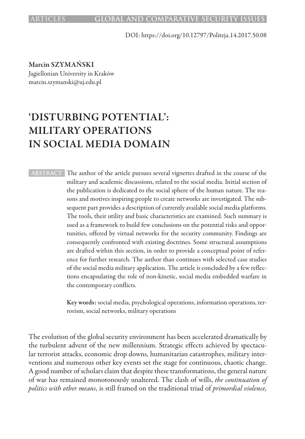DOI: https://doi.org/10.12797/Politeja.14.2017.50.08

Marcin SZYMAŃSKI Jagiellonian University in Kraków marcin.szymanski@uj.edu.pl

# 'DISTURBING POTENTIAL': MILITARY OPERATIONS IN SOCIAL MEDIA DOMAIN

**ABSTRACT** The author of the article pursues several vignettes drafted in the course of the military and academic discussions, related to the social media. Initial section of the publication is dedicated to the social sphere of the human nature. The reasons and motives inspiring people to create networks are investigated. The subsequent part provides a description of currently available social media platforms. The tools, their utility and basic characteristics are examined. Such summary is used as a framework to build few conclusions on the potential risks and opportunities, offered by virtual networks for the security community. Findings are consequently confronted with existing doctrines. Some structural assumptions are drafted within this section, in order to provide a conceptual point of reference for further research. The author than continues with selected case studies of the social media military application. The article is concluded by a few reflections encapsulating the role of non-kinetic, social media embedded warfare in the contemporary conflicts.

> Key words: social media, psychological operations, information operations, terrorism, social networks, military operations

The evolution of the global security environment has been accelerated dramatically by the turbulent advent of the new millennium. Strategic effects achieved by spectacular terrorist attacks, economic drop downs, humanitarian catastrophes, military interventions and numerous other key events set the stage for continuous, chaotic change. A good number of scholars claim that despite these transformations, the general nature of war has remained monotonously unaltered. The clash of wills, *the continuation of politics with other means*, is still framed on the traditional triad of *primordial violence,*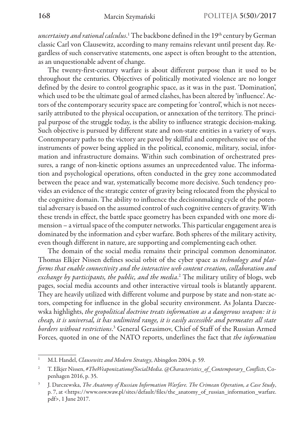*uncertainty and rational calculus*.<sup>1</sup> The backbone defined in the 19<sup>th</sup> century by German classic Carl von Clausewitz, according to many remains relevant until present day. Regardless of such conservative statements, one aspect is often brought to the attention, as an unquestionable advent of change.

The twenty-first-century warfare is about different purpose than it used to be throughout the centuries. Objectives of politically motivated violence are no longer defined by the desire to control geographic space, as it was in the past. 'Domination', which used to be the ultimate goal of armed clashes, has been altered by 'influence'. Actors of the contemporary security space are competing for 'control', which is not necessarily attributed to the physical occupation, or annexation of the territory. The principal purpose of the struggle today, is the ability to influence strategic decision-making. Such objective is pursued by different state and non-state entities in a variety of ways. Contemporary paths to the victory are paved by skillful and comprehensive use of the instruments of power being applied in the political, economic, military, social, information and infrastructure domains. Within such combination of orchestrated pressures, a range of non-kinetic options assumes an unprecedented value. The information and psychological operations, often conducted in the grey zone accommodated between the peace and war, systematically become more decisive. Such tendency provides an evidence of the strategic center of gravity being relocated from the physical to the cognitive domain. The ability to influence the decisionmaking cycle of the potential adversary is based on the assumed control of such cognitive centers of gravity. With these trends in effect, the battle space geometry has been expanded with one more dimension – a virtual space of the computer networks. This particular engagement area is dominated by the information and cyber warfare. Both spheres of the military activity, even though different in nature, are supporting and complementing each other.

The domain of the social media remains their principal common denominator. Thomas Elkjer Nissen defines social orbit of the cyber space as *technology and platforms that enable connectivity and the interactive web content creation, collaboration and exchange by participants, the public, and the media*. 2 The military utility of blogs, web pages, social media accounts and other interactive virtual tools is blatantly apparent. They are heavily utilized with different volume and purpose by state and non-state actors, competing for influence in the global security environment. As Jolanta Darczewska highlights, *the geopolitical doctrine treats information as a dangerous weapon: it is cheap, it is universal, it has unlimited range, it is easily accessible and permeates all state borders without restrictions*. 3 General Gerasimov, Chief of Staff of the Russian Armed Forces, quoted in one of the NATO reports, underlines the fact that *the information* 

<sup>1</sup> M.I. Handel, *Clausewitz and Modern Strategy*, Abingdon 2004, p. 59.

<sup>2</sup> T. Elkjer Nissen, *#TheWeaponizationofSocialMedia. @Characteristics\_of\_Contemporary\_Conflicts*, Copenhagen 2016, p. 35.

<sup>3</sup> J. Darczewska, *The Anatomy of Russian Information Warfare. The Crimean Operation, a Case Study*, p. 7, at <https://www.osw.waw.pl/sites/default/files/the\_anatomy\_of\_russian\_information\_warfare. pdf>, 1 June 2017.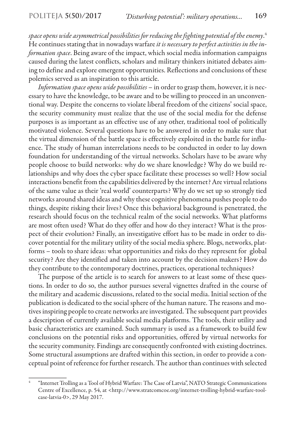*space opens wide asymmetrical possibilities for reducing the fighting potential of the enemy*. 4 He continues stating that in nowadays warfare *it is necessary to perfect activities in the information space*. Being aware of the impact, which social media information campaigns caused during the latest conflicts, scholars and military thinkers initiated debates aiming to define and explore emergent opportunities. Reflections and conclusions of these polemics served as an inspiration to this article.

*Information space opens wide possibilities* – in order to grasp them, however, it is necessary to have the knowledge, to be aware and to be willing to proceed in an unconventional way. Despite the concerns to violate liberal freedom of the citizens' social space, the security community must realize that the use of the social media for the defense purposes is as important as an effective use of any other, traditional tool of politically motivated violence. Several questions have to be answered in order to make sure that the virtual dimension of the battle space is effectively exploited in the battle for influence. The study of human interrelations needs to be conducted in order to lay down foundation for understanding of the virtual networks. Scholars have to be aware why people choose to build networks: why do we share knowledge? Why do we build relationships and why does the cyber space facilitate these processes so well? How social interactions benefit from the capabilities delivered by the internet? Are virtual relations of the same value as their 'real world' counterparts? Why do we set up so strongly tied networks around shared ideas and why these cognitive phenomena pushes people to do things, despite risking their lives? Once this behavioral background is penetrated, the research should focus on the technical realm of the social networks. What platforms are most often used? What do they offer and how do they interact? What is the prospect of their evolution? Finally, an investigative effort has to be made in order to discover potential for the military utility of the social media sphere. Blogs, networks, platforms – tools to share ideas: what opportunities and risks do they represent for global security? Are they identified and taken into account by the decision makers? How do they contribute to the contemporary doctrines, practices, operational techniques?

The purpose of the article is to search for answers to at least some of these questions. In order to do so, the author pursues several vignettes drafted in the course of the military and academic discussions, related to the social media. Initial section of the publication is dedicated to the social sphere of the human nature. The reasons and motives inspiring people to create networks are investigated. The subsequent part provides a description of currently available social media platforms. The tools, their utility and basic characteristics are examined. Such summary is used as a framework to build few conclusions on the potential risks and opportunities, offered by virtual networks for the security community. Findings are consequently confronted with existing doctrines. Some structural assumptions are drafted within this section, in order to provide a conceptual point of reference for further research. The author than continues with selected

<sup>4</sup> "Internet Trolling as a Tool of Hybrid Warfare: The Case of Latvia", NATO Strategic Communications Centre of Excellence, p. 54, at <http://www.stratcomcoe.org/internet-trolling-hybrid-warfare-toolcase-latvia-0>, 29 May 2017.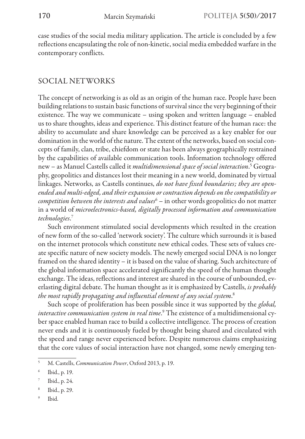case studies of the social media military application. The article is concluded by a few reflections encapsulating the role of non-kinetic, social media embedded warfare in the contemporary conflicts.

# SOCIAL NETWORKS

The concept of networking is as old as an origin of the human race. People have been building relations to sustain basic functions of survival since the very beginning of their existence. The way we communicate – using spoken and written language – enabled us to share thoughts, ideas and experience. This distinct feature of the human race: the ability to accumulate and share knowledge can be perceived as a key enabler for our domination in the world of the nature. The extent of the networks, based on social concepts of family, clan, tribe, chiefdom or state has been always geographically restrained by the capabilities of available communication tools. Information technology offered new – as Manuel Castells called it *multidimensional space of social interaction*. 5 Geography, geopolitics and distances lost their meaning in a new world, dominated by virtual linkages. Networks, as Castells continues, *do not have fixed boundaries; they are openended and multi-edged, and their expansion or contraction depends on the compatibility or competition between the interests and values*<sup>6</sup> – in other words geopolitics do not matter in a world of *microelectronics-based, digitally processed information and communication technologies*. 7

Such environment stimulated social developments which resulted in the creation of new form of the so-called 'network society'. The culture which surrounds it is based on the internet protocols which constitute new ethical codes. These sets of values create specific nature of new society models. The newly emerged social DNA is no longer framed on the shared identity – it is based on the value of sharing. Such architecture of the global information space accelerated significantly the speed of the human thought exchange. The ideas, reflections and interest are shared in the course of unbounded, everlasting digital debate. The human thought as it is emphasized by Castells, *is probably the most rapidly propagating and influential element of any social system*. 8

Such scope of proliferation has been possible since it was supported by the *global, interactive communication system in real time*. 9 The existence of a multidimensional cyber space enabled human race to build a collective intelligence. The process of creation never ends and it is continuously fueled by thought being shared and circulated with the speed and range never experienced before. Despite numerous claims emphasizing that the core values of social interaction have not changed, some newly emerging ten-

- <sup>8</sup> Ibid., p. 29.
- <sup>9</sup> Ibid.

<sup>5</sup> M. Castells, *Communication Power*, Oxford 2013, p. 19.

<sup>6</sup> Ibid., p. 19.

Ibid., p. 24.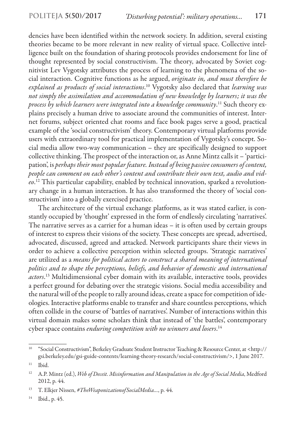dencies have been identified within the network society. In addition, several existing theories became to be more relevant in new reality of virtual space. Collective intelligence built on the foundation of sharing protocols provides endorsement for line of thought represented by social constructivism. The theory, advocated by Soviet cognitivist Lev Vygotsky attributes the process of learning to the phenomena of the social interaction. Cognitive functions as he argued, *originate in, and must therefore be explained as products of social interactions*. 10 Vygotsky also declared that *learning was not simply the assimilation and accommodation of new knowledge by learners; it was the process by which learners were integrated into a knowledge community*. 11 Such theory explains precisely a human drive to associate around the communities of interest. Internet forums, subject oriented chat rooms and face book pages serve a good, practical example of the 'social constructivism' theory. Contemporary virtual platforms provide users with extraordinary tool for practical implementation of Vygotsky's concept. Social media allow two-way communication – they are specifically designed to support collective thinking. The prospect of the interaction or, as Anne Mintz calls it – 'participation', is *perhaps their most popular feature. Instead of being passive consumers of content, people can comment on each other's content and contribute their own text, audio and video*. 12 This particular capability, enabled by technical innovation, sparked a revolutionary change in a human interaction. It has also transformed the theory of 'social constructivism' into a globally exercised practice.

The architecture of the virtual exchange platforms, as it was stated earlier, is constantly occupied by 'thought' expressed in the form of endlessly circulating 'narratives'. The narrative serves as a carrier for a human ideas – it is often used by certain groups of interest to express their visions of the society. These concepts are spread, advertised, advocated, discussed, agreed and attacked. Network participants share their views in order to achieve a collective perception within selected groups. 'Strategic narratives' are utilized as a *means for political actors to construct a shared meaning of international politics and to shape the perceptions, beliefs, and behavior of domestic and international actors*. 13 Multidimensional cyber domain with its available, interactive tools, provides a perfect ground for debating over the strategic visions. Social media accessibility and the natural will of the people to rally around ideas, create a space for competition of ideologies. Interactive platforms enable to transfer and share countless perceptions, which often collide in the course of 'battles of narratives'. Number of interactions within this virtual domain makes some scholars think that instead of 'the battles', contemporary cyber space contains *enduring competition with no winners and losers*. 14

<sup>10</sup> "Social Constructivism", Berkeley Graduate Student Instructor Teaching & Resource Center, at <http:// gsi.berkeley.edu/gsi-guide-contents/learning-theory-research/social-constructivism/>, 1 June 2017.  $11$  Ibid.

<sup>12</sup> A.P. Mintz (ed.), *Web of Deceit. Misinformation and Manipulation in the Age of Social Media*, Medford 2012, p. 44.

<sup>13</sup> T. Elkjer Nissen, *#TheWeaponizationofSocialMedia…*, p. 44.

<sup>14</sup> Ibid., p. 45.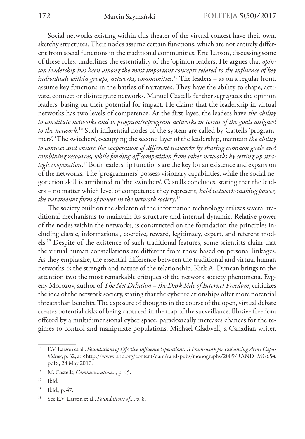Social networks existing within this theater of the virtual contest have their own, sketchy structures. Their nodes assume certain functions, which are not entirely different from social functions in the traditional communities. Eric Larson, discussing some of these roles, underlines the essentiality of the 'opinion leaders'. He argues that *opinion leadership has been among the most important concepts related to the influence of key individuals within groups, networks, communities*. 15 The leaders – as on a regular front, assume key functions in the battles of narratives. They have the ability to shape, activate, connect or disintegrate networks. Manuel Castells further segregates the opinion leaders, basing on their potential for impact. He claims that the leadership in virtual networks has two levels of competence. At the first layer, the leaders have *the ability to constitute networks and to program/reprogram networks in terms of the goals assigned to the network*.<sup>16</sup> Such influential nodes of the system are called by Castells 'programmers'. 'The switchers', occupying the second layer of the leadership, maintain *the ability to connect and ensure the cooperation of different networks by sharing common goals and combining resources, while fending off competition from other networks by setting up strategic cooperation*. 17 Both leadership functions are the key for an existence and expansion of the networks. The 'programmers' possess visionary capabilities, while the social negotiation skill is attributed to 'the switchers'. Castells concludes, stating that the leaders – no matter which level of competence they represent, *hold network-making power, the paramount form of power in the network society*. 18

The society built on the skeleton of the information technology utilizes several traditional mechanisms to maintain its structure and internal dynamic. Relative power of the nodes within the networks, is constructed on the foundation the principles including classic, informational, coercive, reward, legitimacy, expert, and referent models.19 Despite of the existence of such traditional features, some scientists claim that the virtual human constellations are different from those based on personal linkages. As they emphasize, the essential difference between the traditional and virtual human networks, is the strength and nature of the relationship. Kirk A. Duncan brings to the attention two the most remarkable critiques of the network society phenomena. Evgeny Morozov, author of *The Net Delusion – the Dark Side of Internet Freedom*, criticizes the idea of the network society, stating that the cyber relationships offer more potential threats than benefits. The exposure of thoughts in the course of the open, virtual debate creates potential risks of being captured in the trap of the surveillance. Illusive freedom offered by a multidimensional cyber space, paradoxically increases chances for the regimes to control and manipulate populations. Michael Gladwell, a Canadian writer,

<sup>15</sup> E.V. Larson et al., *Foundations of Effective Influence Operations: A Framework for Enhancing Army Capabilities*, p. 32, at <http://www.rand.org/content/dam/rand/pubs/monographs/2009/RAND\_MG654. pdf>, 28 May 2017.

<sup>16</sup> M. Castells, *Communication…*, p. 45.

<sup>17</sup> Ibid.

<sup>18</sup> Ibid., p. 47.

<sup>19</sup> See E.V. Larson et al., *Foundations of…*, p. 8.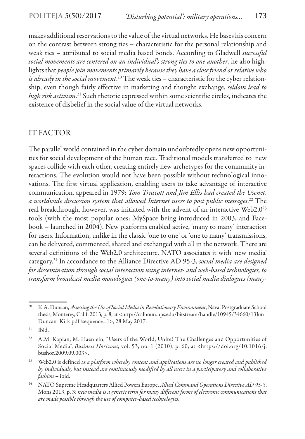makes additional reservations to the value of the virtual networks. He bases his concern on the contrast between strong ties – characteristic for the personal relationship and weak ties – attributed to social media based bonds. According to Gladwell *successful social movements are centered on an individual's strong ties to one another*, he also highlights that *people join movements primarily because they have a close friend or relative who is already in the social movement*. 20 The weak ties – characteristic for the cyber relationship, even though fairly effective in marketing and thought exchange, *seldom lead to high risk activism*. 21 Such rhetoric expressed within some scientific circles, indicates the existence of disbelief in the social value of the virtual networks.

# IT FACTOR

The parallel world contained in the cyber domain undoubtedly opens new opportunities for social development of the human race. Traditional models transferred to new spaces collide with each other, creating entirely new archetypes for the community interactions. The evolution would not have been possible without technological innovations. The first virtual application, enabling users to take advantage of interactive communication, appeared in 1979: *Tom Truscott and Jim Ellis had created the Usenet, a worldwide discussion system that allowed Internet users to post public messages*. 22 The real breakthrough, however, was initiated with the advent of an interactive Web2.023 tools (with the most popular ones: MySpace being introduced in 2003, and Facebook – launched in 2004). New platforms enabled active, 'many to many' interaction for users. Information, unlike in the classic 'one to one' or 'one to many' transmissions, can be delivered, commented, shared and exchanged with all in the network. There are several definitions of the Web2.0 architecture. NATO associates it with 'new media' category.24 In accordance to the Alliance Directive AD 95-3, *social media are designed for dissemination through social interaction using internet- and web-based technologies, to transform broadcast media monologues (one-to-many) into social media dialogues (many-*

<sup>&</sup>lt;sup>20</sup> K.A. Duncan, *Assessing the Use of Social Media in Revolutionary Environment*, Naval Postgraduate School thesis, Monterey, Calif. 2013, p. 8, at <http://calhoun.nps.edu/bitstream/handle/10945/34660/13Jun\_ Duncan Kirk.pdf?sequence=1>, 28 May 2017.

 $21$  Ibid.

<sup>&</sup>lt;sup>22</sup> A.M. Kaplan, M. Haenlein, "Users of the World, Unite! The Challenges and Opportunities of Social Media", *Business Horizons*, vol. 53, no. 1 (2010), p. 60, at <https://doi.org/10.1016/j. bushor.2009.09.003>.

<sup>23</sup> Web2.0 is defined as *a platform whereby content and applications are no longer created and published by individuals, but instead are continuously modified by all users in a participatory and collaborative fashion* – ibid.

<sup>24</sup> NATO Supreme Headquarters Allied Powers Europe, *Allied Command Operations Directive AD 95-3*, Mons 2013, p. 3: *new media is a generic term for many different forms of electronic communications that are made possible through the use of computer-based technologies*.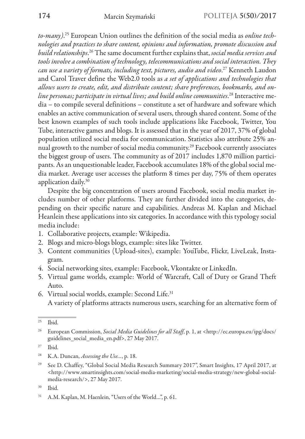*to-many)*. 25 European Union outlines the definition of the social media as *online technologies and practices to share content, opinions and information, promote discussion and build relationships*. 26 The same document further explains that, *social media services and tools involve a combination of technology, telecommunications and social interaction. They can use a variety of formats, including text, pictures, audio and video*. 27 Kenneth Laudon and Carol Traver define the Web2.0 tools as *a set of applications and technologies that allows users to create, edit, and distribute content; share preferences, bookmarks, and online personas; participate in virtual lives; and build online communities*. 28 Interactive media – to compile several definitions – constitute a set of hardware and software which enables an active communication of several users, through shared content. Some of the best known examples of such tools include applications like Facebook, Twitter, You Tube, interactive games and blogs. It is assessed that in the year of 2017, 37% of global population utilized social media for communication. Statistics also attribute 25% annual growth to the number of social media community.29 Facebook currently associates the biggest group of users. The community as of 2017 includes 1,870 million participants. As an unquestionable leader, Facebook accumulates 18% of the global social media market. Average user accesses the platform 8 times per day, 75% of them operates application daily.30

Despite the big concentration of users around Facebook, social media market includes number of other platforms. They are further divided into the categories, depending on their specific nature and capabilities. Andreas M. Kaplan and Michael Heanlein these applications into six categories. In accordance with this typology social media include:

- 1. Collaborative projects, example: Wikipedia.
- 2. Blogs and micro-blogs blogs, example: sites like Twitter.
- 3. Content communities (Upload-sites), example: YouTube, Flickr, LiveLeak, Instagram.
- 4. Social networking sites, example: Facebook, Vkontakte or LinkedIn.
- 5. Virtual game worlds, example: World of Warcraft, Call of Duty or Grand Theft Auto.
- 6. Virtual social worlds, example: Second Life.31 A variety of platforms attracts numerous users, searching for an alternative form of

<sup>25</sup> Ibid.

<sup>26</sup> European Commission, *Social Media Guidelines for all Staff*, p. 1, at <http://ec.europa.eu/ipg/docs/ guidelines\_social\_media\_en.pdf>, 27 May 2017.

 $27$  Ibid.

<sup>28</sup> K.A. Duncan, *Assessing the Use…*, p. 18.

<sup>&</sup>lt;sup>29</sup> See D. Chaffey, "Global Social Media Research Summary 2017", Smart Insights, 17 April 2017, at <http://www.smartinsights.com/social-media-marketing/social-media-strategy/new-global-socialmedia-research/>, 27 May 2017.

<sup>30</sup> Ibid.

<sup>31</sup> A.M. Kaplan, M. Haenlein, "Users of the World…", p. 61.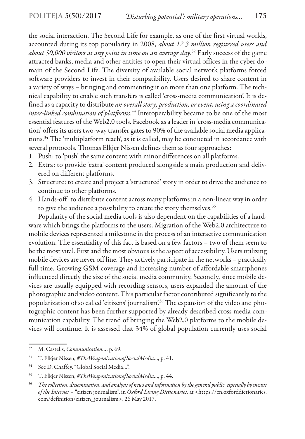the social interaction. The Second Life for example, as one of the first virtual worlds, accounted during its top popularity in 2008, *about 12.3 million registered users and about 50,000 visitors at any point in time on an average day*. 32 Early success of the game attracted banks, media and other entities to open their virtual offices in the cyber domain of the Second Life. The diversity of available social network platforms forced software providers to invest in their compatibility. Users desired to share content in a variety of ways – bringing and commenting it on more than one platform. The technical capability to enable such transfers is called 'cross-media communication'. It is defined as a capacity to distribute *an overall story, production, or event, using a coordinated inter-linked combination of platforms*.<sup>33</sup> Interoperability became to be one of the most essential features of the Web2.0 tools. Facebook as a leader in 'cross-media communication' offers its users two-way transfer gates to 90% of the available social media applications.34 The 'multiplatform reach', as it is called, may be conducted in accordance with several protocols. Thomas Elkjer Nissen defines them as four approaches:

- 1. Push: to 'push' the same content with minor differences on all platforms.
- 2. Extra: to provide 'extra' content produced alongside a main production and delivered on different platforms.
- 3. Structure: to create and project a 'structured' story in order to drive the audience to continue to other platforms.
- 4. Hands-off: to distribute content across many platforms in a non-linear way in order to give the audience a possibility to create the story themselves.<sup>35</sup>

Popularity of the social media tools is also dependent on the capabilities of a hardware which brings the platforms to the users. Migration of the Web2.0 architecture to mobile devices represented a milestone in the process of an interactive communication evolution. The essentiality of this fact is based on a few factors – two of them seem to be the most vital. First and the most obvious is the aspect of accessibility. Users utilizing mobile devices are never off line. They actively participate in the networks – practically full time. Growing GSM coverage and increasing number of affordable smartphones influenced directly the size of the social media community. Secondly, since mobile devices are usually equipped with recording sensors, users expanded the amount of the photographic and video content. This particular factor contributed significantly to the popularization of so called 'citizens' journalism'.36 The expansion of the video and photographic content has been further supported by already described cross media communication capability. The trend of bringing the Web2.0 platforms to the mobile devices will continue. It is assessed that 34% of global population currently uses social

<sup>32</sup> M. Castells, *Communication…*, p. 69.

<sup>33</sup> T. Elkjer Nissen, *#TheWeaponizationofSocialMedia*…, p. 41.

<sup>&</sup>lt;sup>34</sup> See D. Chaffey, "Global Social Media...".

<sup>35</sup> T. Elkjer Nissen, *#TheWeaponizationofSocialMedia*…, p. 44.

<sup>36</sup> *The collection, dissemination, and analysis of news and information by the general public, especially by means of the Internet* – "citizen journalism", in *Oxford Living Dictionaries*, at <https://en.oxforddictionaries. com/definition/citizen\_journalism>, 26 May 2017.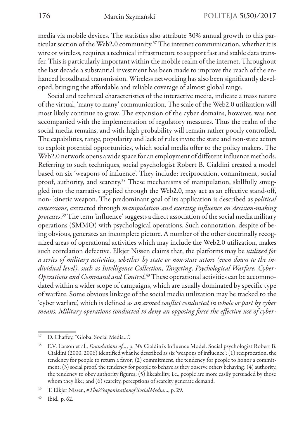media via mobile devices. The statistics also attribute 30% annual growth to this particular section of the Web2.0 community.37 The internet communication, whether it is wire or wireless, requires a technical infrastructure to support fast and stable data transfer. This is particularly important within the mobile realm of the internet. Throughout the last decade a substantial investment has been made to improve the reach of the enhanced broadband transmission. Wireless networking has also been significantly developed, bringing the affordable and reliable coverage of almost global range.

Social and technical characteristics of the interactive media, indicate a mass nature of the virtual, 'many to many' communication. The scale of the Web2.0 utilization will most likely continue to grow. The expansion of the cyber domains, however, was not accompanied with the implementation of regulatory measures. Thus the realm of the social media remains, and with high probability will remain rather poorly controlled. The capabilities, range, popularity and lack of rules invite the state and non-state actors to exploit potential opportunities, which social media offer to the policy makers. The Web2.0 network opens a wide space for an employment of different influence methods. Referring to such techniques, social psychologist Robert B. Cialdini created a model based on six 'weapons of influence'. They include: reciprocation, commitment, social proof, authority, and scarcity.<sup>38</sup> These mechanisms of manipulation, skillfully smuggled into the narrative applied through the Web2.0, may act as an effective stand-off, non- kinetic weapon. The predominant goal of its application is described as *political concessions*, extracted through *manipulation and exerting influence on decision-making processes*. 39 The term 'influence' suggests a direct association of the social media military operations (SMMO) with psychological operations. Such connotation, despite of being obvious, generates an incomplete picture. A number of the other doctrinally recognized areas of operational activities which may include the Web2.0 utilization, makes such correlation defective. Elkjer Nissen claims that, the platforms may be *utilized for a series of military activities, whether by state or non-state actors (even down to the individual level), such as Intelligence Collection, Targeting, Psychological Warfare, Cyber-Operations and Command and Control*. 40 These operational activities can be accommodated within a wider scope of campaigns, which are usually dominated by specific type of warfare. Some obvious linkage of the social media utilization may be tracked to the 'cyber warfare', which is defined as *an armed conflict conducted in whole or part by cyber means. Military operations conducted to deny an opposing force the effective use of cyber-*

<sup>&</sup>lt;sup>37</sup> D. Chaffey, "Global Social Media...".

<sup>38</sup> E.V. Larson et al., *Foundations of…*, p. 30: Cialdini's Influence Model. Social psychologist Robert B. Cialdini (2000, 2006) identified what he described as six 'weapons of influence': (1) reciprocation, the tendency for people to return a favor; (2) commitment, the tendency for people to honor a commitment; (3) social proof, the tendency for people to behave as they observe others behaving; (4) authority, the tendency to obey authority figures; (5) likeability, i.e., people are more easily persuaded by those whom they like; and (6) scarcity, perceptions of scarcity generate demand.

<sup>39</sup> T. Elkjer Nissen, *#TheWeaponizationof SocialMedia*…, p. 29.

<sup>40</sup> Ibid., p. 62.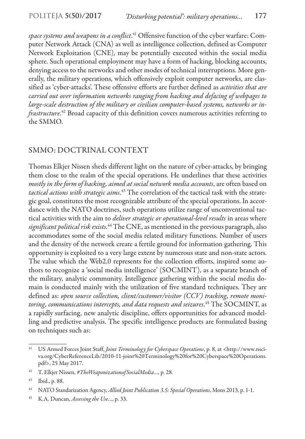*space systems and weapons in a conflict*. 41 Offensive function of the cyber warfare: Computer Network Attack (CNA) as well as intelligence collection, defined as Computer Network Exploitation (CNE), may be potentially executed within the social media sphere. Such operational employment may have a form of hacking, blocking accounts, denying access to the networks and other modes of technical interruptions. More generally, the military operations, which offensively exploit computer networks, are classified as 'cyber-attacks'. These offensive efforts are further defined as *activities that are carried out over information networks ranging from hacking and defacing of webpages to large-scale destruction of the military or civilian computer-based systems, networks or infrastructure*. 42 Broad capacity of this definition covers numerous activities referring to the SMMO.

# SMMO: DOCTRINAL CONTEXT

Thomas Elkjer Nissen sheds different light on the nature of cyber-attacks, by bringing them close to the realm of the special operations. He underlines that these activities *mostly in the form of hacking, aimed at social network media accounts*, are often based on *tactical actions with strategic aims*. 43 The correlation of the tactical task with the strategic goal, constitutes the most recognizable attribute of the special operations. In accordance with the NATO doctrines, such operations utilize range of unconventional tactical activities with the aim to *deliver strategic or operational-level results* in areas where *significant political risk exists*. 44 The CNE, as mentioned in the previous paragraph, also accommodates some of the social media related military functions. Number of users and the density of the network create a fertile ground for information gathering. This opportunity is exploited to a very large extent by numerous state and non-state actors. The value which the Web2.0 represents for the collection efforts, inspired some authors to recognize a 'social media intelligence' (SOCMINT), as a separate branch of the military, analytic community. Intelligence gathering within the social media domain is conducted mainly with the utilization of five standard techniques. They are defined as: *open source collection, client/customer/visitor (CCV) tracking, remote monitoring, communications intercepts, and data requests and seizures*. 45 The SOCMINT, as a rapidly surfacing, new analytic discipline, offers opportunities for advanced modelling and predictive analysis. The specific intelligence products are formulated basing on techniques such as:

<sup>45</sup> K.A. Duncan, *Assessing the Use*…, p. 33.

<sup>41</sup> US Armed Forces Joint Staff, *Joint Terminology for Cyberspace Operations*, p. 8, at <http://www.nsciva.org/CyberReferenceLib/2010-11-joint%20Terminology%20for%20Cyberspace%20Operations. pdf>, 25 May 2017.

<sup>42</sup> T. Elkjer Nissen, *#TheWeaponizationofSocialMedia*…, p. 28.

<sup>43</sup> Ibid., p. 88.

<sup>44</sup> NATO Standarization Agency, *Allied Joint Publication 3.5: Special Operations*, Mons 2013, p. 1-1.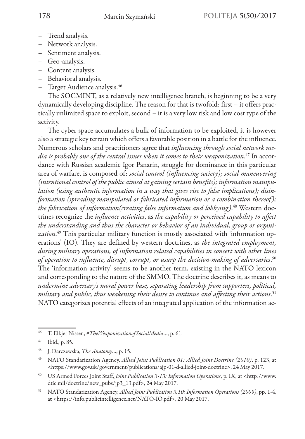- Trend analysis.
- Network analysis.
- Sentiment analysis.
- Geo-analysis.
- Content analysis.
- Behavioral analysis.
- Target Audience analysis.46

The SOCMINT, as a relatively new intelligence branch, is beginning to be a very dynamically developing discipline. The reason for that is twofold: first – it offers practically unlimited space to exploit, second – it is a very low risk and low cost type of the activity.

The cyber space accumulates a bulk of information to be exploited, it is however also a strategic key terrain which offers a favorable position in a battle for the influence. Numerous scholars and practitioners agree that *influencing through social network media is probably one of the central issues when it comes to their weaponization*. 47 In accordance with Russian academic Igor Panarin, struggle for dominance in this particular area of warfare, is composed of: *social control (influencing society); social maneuvering (intentional control of the public aimed at gaining certain benefits); information manipulation (using authentic information in a way that gives rise to false implications); disinformation (spreading manipulated or fabricated information or a combination thereof ); the fabrication of information(creating false information and lobbying)*. 48 Western doctrines recognize the *influence activities*, as *the capability or perceived capability to affect the understanding and thus the character or behavior of an individual, group or organization*. 49 This particular military function is mostly associated with 'information operations' (IO). They are defined by western doctrines, as *the integrated employment, during military operations, of information related capabilities in concert with other lines of operation to influence, disrupt, corrupt, or usurp the decision-making of adversaries*. 50 The 'information activity' seems to be another term, existing in the NATO lexicon and corresponding to the nature of the SMMO. The doctrine describes it, as means to *undermine adversary's moral power base, separating leadership from supporters, political, military and public, thus weakening their desire to continue and affecting their actions*. 51 NATO categorizes potential effects of an integrated application of the information ac-

<sup>46</sup> T. Elkjer Nissen, *#TheWeaponizationofSocialMedia*…, p. 61.

<sup>47</sup> Ibid., p. 85.

<sup>48</sup> J. Darczewska, *The Anatomy*…, p. 15.

<sup>49</sup> NATO Standarization Agency, *Allied Joint Publication 01: Allied Joint Doctrine (2010)*, p. 123, at <https://www.gov.uk/government/publications/ajp-01-d-allied-joint-doctrine>, 24 May 2017.

<sup>50</sup> US Armed Forces Joint Staff, *Joint Publication 3-13: Information Operations*, p. IX, at <http://www. dtic.mil/doctrine/new\_pubs/jp3\_13.pdf>, 24 May 2017.

<sup>51</sup> NATO Standarization Agency, *Allied Joint Publication 3.10: Information Operations (2009)*, pp. 1-4, at <https://info.publicintelligence.net/NATO-IO.pdf>, 20 May 2017.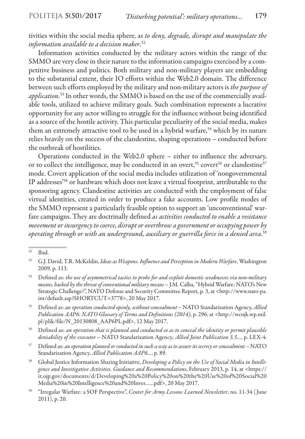## tivities within the social media sphere, as *to deny, degrade, disrupt and manipulate the information available to a decision maker*. 52

Information activities conducted by the military actors within the range of the SMMO are very close in their nature to the information campaigns exercised by a competitive business and politics. Both military and non-military players are embedding to the substantial extent, their IO efforts within the Web2.0 domain. The difference between such efforts employed by the military and non-military actors is *the purpose of application*. 53 In other words, the SMMO is based on the use of the commercially available tools, utilized to achieve military goals. Such combination represents a lucrative opportunity for any actor willing to struggle for the influence without being identified as a source of the hostile activity. This particular peculiarity of the social media, makes them an extremely attractive tool to be used in a hybrid warfare,<sup>54</sup> which by its nature relies heavily on the success of the clandestine, shaping operations – conducted before the outbreak of hostilities.

Operations conducted in the Web2.0 sphere – either to influence the adversary, or to collect the intelligence, may be conducted in an overt,<sup>55</sup> covert<sup>56</sup> or clandestine<sup>57</sup> mode. Covert application of the social media includes utilization of 'nongovernmental IP addresses'58 or hardware which does not leave a virtual footprint, attributable to the sponsoring agency. Clandestine activities are conducted with the employment of false virtual identities, created in order to produce a fake accounts. Low profile modes of the SMMO represent a particularly feasible option to support an 'unconventional' warfare campaigns. They are doctrinally defined *as activities conducted to enable a resistance movement or insurgency to coerce, disrupt or overthrow a government or occupying power by operating through or with an underground, auxiliary or guerrilla force in a denied area*. 59

- <sup>54</sup> Defined as: *the use of asymmetrical tactics to probe for and exploit domestic weaknesses via non-military means, backed by the threat of conventional military means* – J.M. Calha, "Hybrid Warfare: NATO's New Strategic Challenge?", NATO Defense and Security Committee Report, p. 3, at <http://www.nato-pa. int/default.asp?SHORTCUT=3778>, 20 May 2017.
- <sup>55</sup> Defined as: *an operation conducted openly, without concealment* NATO Standarization Agency, *Allied Publication AAP6: NATO Glossary of Terms and Definitions (2014)*, p. 296, at <http://wcnjk.wp.mil. pl/plik/file/N\_20130808\_AAP6PL.pdf>, 12 May 2017.
- <sup>56</sup> Defined as: *an operation that is planned and conducted so as to conceal the identity or permit plausible deniability of the executor* – NATO Standarization Agency*, Allied Joint Publication 3.5…*, p. LEX-4.
- <sup>57</sup> Defined as: *an operation planned or conducted in such a way as to assure its secrecy or concealment* NATO Standarization Agency, *Allied Publication AAP6…*, p. 89.
- <sup>58</sup> Global Justice Information Sharing Initiative, *Developing a Policy on the Use of Social Media in Intelligence and Investigative Activities. Guidance and Recommendations*, February 2013, p. 14, at <https:// it.ojp.gov/documents/d/Developing%20a%20Policy%20on%20the%20Use%20of%20Social%20 Media%20in%20Intelligence%20and%20Inves……pdf>, 20 May 2017.
- <sup>59</sup> "Irregular Warfare: a SOF Perspective", *Center for Army Lessons Learned Newsletter*, no. 11-34 ( June 2011), p. 20.

<sup>52</sup> Ibid.

<sup>53</sup> G.J. David, T.R. McKeldin, *Ideas as Weapons. Influence and Perception in Modern Warfare*, Washington 2009, p. 113.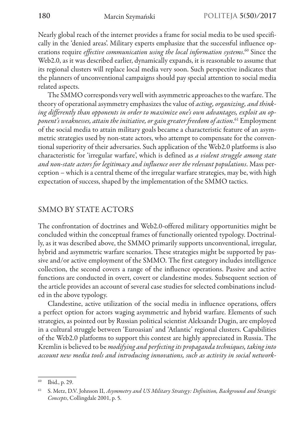Nearly global reach of the internet provides a frame for social media to be used specifically in the 'denied areas'. Military experts emphasize that the successful influence operations require *effective communication using the local information systems*. 60 Since the Web2.0, as it was described earlier, dynamically expands, it is reasonable to assume that its regional clusters will replace local media very soon. Such perspective indicates that the planners of unconventional campaigns should pay special attention to social media related aspects.

The SMMO corresponds very well with asymmetric approaches to the warfare. The theory of operational asymmetry emphasizes the value of *acting, organizing, and thinking differently than opponents in order to maximize one's own advantages, exploit an opponent's weaknesses, attain the initiative, or gain greater freedom of action*. 61 Employment of the social media to attain military goals became a characteristic feature of an asymmetric strategies used by non-state actors, who attempt to compensate for the conventional superiority of their adversaries. Such application of the Web2.0 platforms is also characteristic for 'irregular warfare', which is defined as *a violent struggle among state and non-state actors for legitimacy and influence over the relevant populations*. Mass perception – which is a central theme of the irregular warfare strategies, may be, with high expectation of success, shaped by the implementation of the SMMO tactics.

### SMMO BY STATE ACTORS

The confrontation of doctrines and Web2.0-offered military opportunities might be concluded within the conceptual frames of functionally oriented typology. Doctrinally, as it was described above, the SMMO primarily supports unconventional, irregular, hybrid and asymmetric warfare scenarios. These strategies might be supported by passive and/or active employment of the SMMO. The first category includes intelligence collection, the second covers a range of the influence operations. Passive and active functions are conducted in overt, covert or clandestine modes. Subsequent section of the article provides an account of several case studies for selected combinations included in the above typology.

Clandestine, active utilization of the social media in influence operations, offers a perfect option for actors waging asymmetric and hybrid warfare. Elements of such strategies, as pointed out by Russian political scientist Aleksandr Dugin, are employed in a cultural struggle between 'Euroasian' and 'Atlantic' regional clusters. Capabilities of the Web2.0 platforms to support this contest are highly appreciated in Russia. The Kremlin is believed to be *modifying and perfecting its propaganda techniques, taking into account new media tools and introducing innovations, such as activity in social network-*

<sup>60</sup> Ibid., p. 29.

<sup>61</sup> S. Metz, D.V. Johnson II, *Asymmetry and US Military Strategy: Definition, Background and Strategic Concepts*, Collingdale 2001, p. 5.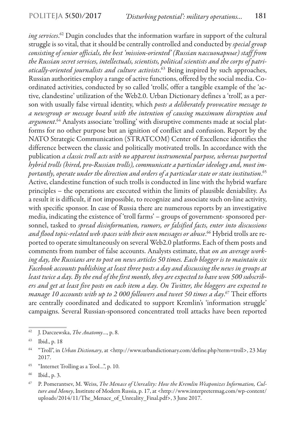*ing services*. 62 Dugin concludes that the information warfare in support of the cultural struggle is so vital, that it should be centrally controlled and conducted by *special group consisting of senior officials, the best 'mission-oriented' (Russian пассионарные) staff from the Russian secret services, intellectuals, scientists, political scientists and the corps of patriotically-oriented journalists and culture activists*. 63 Being inspired by such approaches, Russian authorities employ a range of active functions, offered by the social media. Coordinated activities, conducted by so called 'trolls', offer a tangible example of the 'active, clandestine' utilization of the Web2.0. Urban Dictionary defines a 'troll', as a person with usually false virtual identity, which *posts a deliberately provocative message to a newsgroup or message board with the intention of causing maximum disruption and argument*. 64 Analysts associate 'trolling' with disruptive comments made at social platforms for no other purpose but an ignition of conflict and confusion. Report by the NATO Strategic Communication (STRATCOM) Center of Excellence identifies the difference between the classic and politically motivated trolls. In accordance with the publication *a classic troll acts with no apparent instrumental purpose, whereas purported hybrid trolls (hired, pro-Russian trolls), communicate a particular ideology and, most importantly, operate under the direction and orders of a particular state or state institution*. 65 Active, clandestine function of such trolls is conducted in line with the hybrid warfare principles – the operations are executed within the limits of plausible deniability. As a result it is difficult, if not impossible, to recognize and associate such on-line activity, with specific sponsor. In case of Russia there are numerous reports by an investigative media, indicating the existence of 'troll farms' – groups of government- sponsored personnel, tasked to *spread disinformation, rumors, or falsified facts, enter into discussions and flood topic-related web spaces with their own messages or abuse*. 66 Hybrid trolls are reported to operate simultaneously on several Web2.0 platforms. Each of them posts and comments from number of false accounts. Analysts estimate, that *on an average working day, the Russians are to post on news articles 50 times. Each blogger is to maintain six Facebook accounts publishing at least three posts a day and discussing the news in groups at least twice a day. By the end of the first month, they are expected to have won 500 subscribers and get at least five posts on each item a day. On Twitter, the bloggers are expected to manage 10 accounts with up to 2 000 followers and tweet 50 times a day*. 67 Their efforts are centrally coordinated and dedicated to support Kremlin's 'information struggle' campaigns. Several Russian-sponsored concentrated troll attacks have been reported

<sup>65</sup> "Internet Trolling as a Tool…", p. 10.

<sup>62</sup> J. Darczewska, *The Anatomy*…, p. 8.

<sup>63</sup> Ibid., p. 18

<sup>64</sup> "Troll", in *Urban Dictionary*, at <http://www.urbandictionary.com/define.php?term=troll>, 23 May 2017.

<sup>66</sup> Ibid., p. 3.

<sup>67</sup> P. Pomerantsev, M. Weiss, *The Menace of Unreality: How the Kremlin Weaponizes Information, Culture and Money*, Institute of Modern Russia, p. 17, at <http://www.interpretermag.com/wp-content/ uploads/2014/11/The\_Menace\_of\_Unreality\_Final.pdf>, 3 June 2017.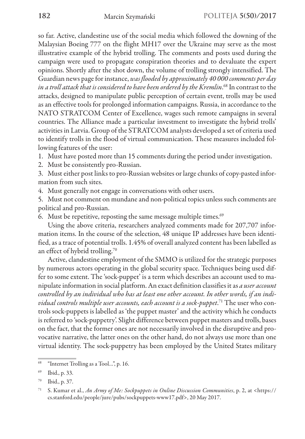so far. Active, clandestine use of the social media which followed the downing of the Malaysian Boeing 777 on the flight MH17 over the Ukraine may serve as the most illustrative example of the hybrid trolling. The comments and posts used during the campaign were used to propagate conspiration theories and to devaluate the expert opinions. Shortly after the shot down, the volume of trolling strongly intensified. The Guardian news page for instance, *was flooded by approximately 40 000 comments per day in a troll attack that is considered to have been ordered by the Kremlin*. 68 In contrast to the attacks, designed to manipulate public perception of certain event, trolls may be used as an effective tools for prolonged information campaigns. Russia, in accordance to the NATO STRATCOM Center of Excellence, wages such remote campaigns in several countries. The Alliance made a particular investment to investigate the hybrid trolls' activities in Latvia. Group of the STRATCOM analysts developed a set of criteria used to identify trolls in the flood of virtual communication. These measures included following features of the user:

1. Must have posted more than 15 comments during the period under investigation.

2. Must be consistently pro-Russian.

3. Must either post links to pro-Russian websites or large chunks of copy-pasted information from such sites.

4. Must generally not engage in conversations with other users.

5. Must not comment on mundane and non-political topics unless such comments are political and pro-Russian.

6. Must be repetitive, reposting the same message multiple times. $69$ 

Using the above criteria, researchers analyzed comments made for 207,707 information items. In the course of the selection, 48 unique IP addresses have been identified, as a trace of potential trolls. 1.45% of overall analyzed content has been labelled as an effect of hybrid trolling.70

Active, clandestine employment of the SMMO is utilized for the strategic purposes by numerous actors operating in the global security space. Techniques being used differ to some extent. The 'sock-puppet' is a term which describes an account used to manipulate information in social platform. An exact definition classifies it as *a user account controlled by an individual who has at least one other account. In other words, if an individual controls multiple user accounts, each account is a sock-puppet*. 71 The user who controls sock-puppets is labelled as 'the puppet master' and the activity which he conducts is referred to 'sock-puppetry'. Slight difference between puppet masters and trolls, bases on the fact, that the former ones are not necessarily involved in the disruptive and provocative narrative, the latter ones on the other hand, do not always use more than one virtual identity. The sock-puppetry has been employed by the United States military

<sup>&</sup>quot;Internet Trolling as a Tool...", p. 16.

<sup>69</sup> Ibid., p. 33.

<sup>70</sup> Ibid., p. 37.

<sup>71</sup> S. Kumar et al., *An Army of Me: Sockpuppets in Online Discussion Communities*, p. 2, at <https:// cs.stanford.edu/people/jure/pubs/sockpuppets-www17.pdf>, 20 May 2017.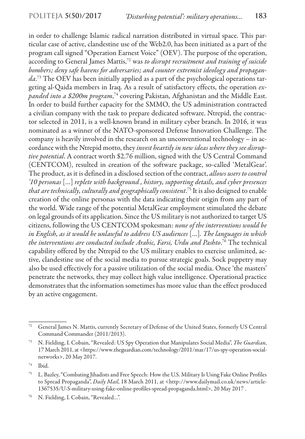in order to challenge Islamic radical narration distributed in virtual space. This particular case of active, clandestine use of the Web2.0, has been initiated as a part of the program call signed "Operation Earnest Voice" (OEV). The purpose of the operation, according to General James Mattis,72 was *to disrupt recruitment and training of suicide bombers; deny safe havens for adversaries; and counter extremist ideology and propaganda*. 73 The OEV has been initially applied as a part of the psychological operations targeting al-Qaida members in Iraq. As a result of satisfactory effects, the operation *expanded into a \$200m program*, 74 covering Pakistan, Afghanistan and the Middle East. In order to build further capacity for the SMMO, the US administration contracted a civilian company with the task to prepare dedicated software. Ntrepid, the contractor selected in 2011, is a well-known brand in military cyber branch. In 2016, it was nominated as a winner of the NATO-sponsored Defense Innovation Challenge. The company is heavily involved in the research on an unconventional technology – in accordance with the Ntrepid motto, they *invest heartily in new ideas where they see disruptive potential*. A contract worth \$2.76 million, signed with the US Central Command (CENTCOM), resulted in creation of the software package, so-called 'MetalGear'. The product, as it is defined in a disclosed section of the contract, *allows users to control '10 personas* […] *replete with background , history, supporting details, and cyber presences that are technically, culturally and geographically consistent*. 75 It is also designed to enable creation of the online personas with the data indicating their origin from any part of the world. Wide range of the potential MetalGear employment stimulated the debate on legal grounds of its application. Since the US military is not authorized to target US citizens, following the US CENTCOM spokesman: *none of the interventions would be in English, as it would be unlawful to address US audiences* […]*. The languages in which the interventions are conducted include Arabic, Farsi, Urdu and Pashto*. 76 The technical capability offered by the Ntrepid to the US military enables to exercise unlimited, active, clandestine use of the social media to pursue strategic goals. Sock puppetry may also be used effectively for a passive utilization of the social media. Once 'the masters' penetrate the networks, they may collect high value intelligence. Operational practice demonstrates that the information sometimes has more value than the effect produced by an active engagement.

<sup>72</sup> General James N. Mattis, currently Secretary of Defense of the United States, formerly US Central Command Commander (2011/2013).

<sup>73</sup> N. Fielding, I. Cobain, "Revealed: US Spy Operation that Manipulates Social Media", *The Guardian*, 17 March 2011, at <https://www.theguardian.com/technology/2011/mar/17/us-spy-operation-socialnetworks>, 20 May 2017.

<sup>74</sup> Ibid.

<sup>75</sup> L. Bazley, "Combating Jihadists and Free Speech: How the U.S. Military Is Using Fake Online Profiles to Spread Propaganda", *Daily Mail*, 18 March 2011, at <http://www.dailymail.co.uk/news/article-1367535/U-S-military-using-fake-online-profiles-spread-propaganda.html>, 20 May 2017 .

<sup>76</sup> N. Fielding, I. Cobain, "Revealed…".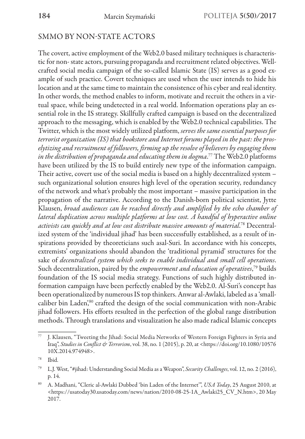# SMMO BY NON-STATE ACTORS

The covert, active employment of the Web2.0 based military techniques is characteristic for non- state actors, pursuing propaganda and recruitment related objectives. Wellcrafted social media campaign of the so-called Islamic State (IS) serves as a good example of such practice. Covert techniques are used when the user intends to hide his location and at the same time to maintain the consistence of his cyber and real identity. In other words, the method enables to inform, motivate and recruit the others in a virtual space, while being undetected in a real world. Information operations play an essential role in the IS strategy. Skillfully crafted campaign is based on the decentralized approach to the messaging, which is enabled by the Web2.0 technical capabilities. The Twitter, which is the most widely utilized platform, *serves the same essential purposes for terrorist organization (IS) that bookstore and Internet forums played in the past: the proselytizing and recruitment of followers, firming up the resolve of believers by engaging them in the distribution of propaganda and educating them in dogma*. 77 The Web2.0 platforms have been utilized by the IS to build entirely new type of the information campaign. Their active, covert use of the social media is based on a highly decentralized system – such organizational solution ensures high level of the operation security, redundancy of the network and what's probably the most important – massive participation in the propagation of the narrative. According to the Danish-born political scientist, Jytte Klausen, *broad audiences can be reached directly and amplified by the echo chamber of lateral duplication across multiple platforms at low cost. A handful of hyperactive online activists can quickly and at low cost distribute massive amounts of material*. 78 Decentralized system of the 'individual jihad' has been successfully established, as a result of inspirations provided by theoreticians such asal-Suri. In accordance with his concepts, extremists' organizations should abandon the 'traditional pyramid' structures for the sake of *decentralized system which seeks to enable individual and small cell operations*. Such decentralization, paired by the *empowerment and education of operatives*, 79 builds foundation of the IS social media strategy. Functions of such highly distributed information campaign have been perfectly enabled by the Web2.0. Al-Suri's concept has been operationalized by numerous IS top thinkers. Anwar al-Awlaki, labeled as a 'smallcaliber bin Laden',<sup>80</sup> crafted the design of the social communication with non-Arabic jihad followers. His efforts resulted in the perfection of the global range distribution methods. Through translations and visualization he also made radical Islamic concepts

 $\overline{77}$  J. Klausen, "Tweeting the Jihad: Social Media Networks of Western Foreign Fighters in Syria and Iraq", *Studies in Conflict & Terrorism*, vol. 38, no. 1 (2015), p. 20, at <https://doi.org/10.1080/10576 10X.2014.974948>.

<sup>78</sup> Ibid.

<sup>79</sup> L.J. West, "#jihad: Understanding Social Media as a Weapon", *Security Challenges*, vol. 12, no. 2 (2016), p. 14.

<sup>80</sup> A. Madhani, "Cleric al-Awlaki Dubbed 'bin Laden of the Internet'", *USA Today*, 25 August 2010, at <https://usatoday30.usatoday.com/news/nation/2010-08-25-1A\_Awlaki25\_CV\_N.htm>, 20 May 2017.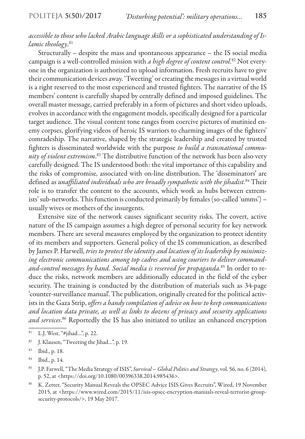### *accessible to those who lacked Arabic language skills or a sophisticated understanding of Islamic theology*. 81

Structurally – despite the mass and spontaneous appearance – the IS social media campaign is a well-controlled mission with *a high degree of content control*. 82 Not everyone in the organization is authorized to upload information. Fresh recruits have to give their communication devices away. 'Tweeting' or creating the messages in a virtual world is a right reserved to the most experienced and trusted fighters. The narrative of the IS members' content is carefully shaped by centrally defined and imposed guidelines. The overall master message, carried preferably in a form of pictures and short video uploads, evolves in accordance with the engagement models, specifically designed for a particular target audience. The visual content tone ranges from coercive pictures of mutinied enemy corpses, glorifying videos of heroic IS warriors to charming images of the fighters' comradeship. The narrative, shaped by the strategic leadership and created by trusted fighters is disseminated worldwide with the purpose *to build a transnational community of violent extremism*. 83 The distributive function of the network has been also very carefully designed. The IS understood both: the vital importance of this capability and the risks of compromise, associated with on-line distribution. The 'disseminators' are defined as *unaffiliated individuals who are broadly sympathetic with the jihadist*. 84 Their role is to transfer the content to the accounts, which work as hubs between extremists' sub-networks. This function is conducted primarily by females (so-called 'umms') – usually wives or mothers of the insurgents.

Extensive size of the network causes significant security risks. The covert, active nature of the IS campaign assumes a high degree of personal security for key network members. There are several measures employed by the organization to protect identity of its members and supporters. General policy of the IS communication, as described by James P. Harwell, *tries to protect the identity and location of its leadership by minimizing electronic communications among top cadres and using couriers to deliver commandand-control messages by hand. Social media is reserved for propaganda*. 85 In order to reduce the risks, network members are additionally educated in the field of the cyber security. The training is conducted by the distribution of materials such as 34-page 'counter-surveillance manual'. The publication, originally created for the political activists in the Gaza Strip, *offers a handy compilation of advice on how to keep communications and location data private, as well as links to dozens of privacy and security applications and services*. 86 Reportedly the IS has also initiated to utilize an enhanced encryption

<sup>86</sup> K. Zetter, "Security Manual Reveals the OPSEC Advice ISIS Gives Recruits", Wired, 19 November 2015, at <https://www.wired.com/2015/11/isis-opsec-encryption-manuals-reveal-terrorist-groupsecurity-protocols/>, 19 May 2017.

<sup>81</sup> L.J. West, "#jihad…", p. 22.

<sup>82</sup> J. Klausen, "Tweeting the Jihad...", p. 19.

<sup>83</sup> Ibid., p. 18.

<sup>84</sup> Ibid., p. 14.

<sup>85</sup> J.P. Farwell, "The Media Strategy of ISIS", *Survival – Global Politics and Strategy*, vol. 56, no. 6 (2014), p. 52, at <https://doi.org/10.1080/00396338.2014.985436>.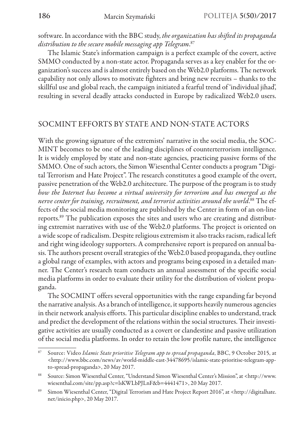software. In accordance with the BBC study, *the organization has shifted its propaganda distribution to the secure mobile messaging app Telegram*. 87

The Islamic State's information campaign is a perfect example of the covert, active SMMO conducted by a non-state actor. Propaganda serves as a key enabler for the organization's success and is almost entirely based on the Web2.0 platforms. The network capability not only allows to motivate fighters and bring new recruits – thanks to the skillful use and global reach, the campaign initiated a fearful trend of 'individual jihad', resulting in several deadly attacks conducted in Europe by radicalized Web2.0 users.

### SOCMINT EFFORTS BY STATE AND NON-STATE ACTORS

With the growing signature of the extremists' narrative in the social media, the SOC-MINT becomes to be one of the leading disciplines of counterterrorism intelligence. It is widely employed by state and non-state agencies, practicing passive forms of the SMMO. One of such actors, the Simon Wiesenthal Center conducts a program "Digital Terrorism and Hate Project". The research constitutes a good example of the overt, passive penetration of the Web2.0 architecture. The purpose of the program is to study *how the Internet has become a virtual university for terrorism and has emerged as the nerve center for training, recruitment, and terrorist activities around the world*. 88 The effects of the social media monitoring are published by the Center in form of an on-line reports.89 The publication exposes the sites and users who are creating and distributing extremist narratives with use of the Web2.0 platforms. The project is oriented on a wide scope of radicalism. Despite religious extremism it also tracks racism, radical left and right wing ideology supporters. A comprehensive report is prepared on annual basis. The authors present overall strategies of the Web2.0 based propaganda, they outline a global range of examples, with actors and programs being exposed in a detailed manner. The Center's research team conducts an annual assessment of the specific social media platforms in order to evaluate their utility for the distribution of violent propaganda.

The SOCMINT offers several opportunities with the range expanding far beyond the narrative analysis. As a branch of intelligence, it supports heavily numerous agencies in their network analysis efforts. This particular discipline enables to understand, track and predict the development of the relations within the social structures. Their investigative activities are usually conducted as a covert or clandestine and passive utilization of the social media platforms. In order to retain the low profile nature, the intelligence

<sup>87</sup> Source: Video *Islamic State prioritise Telegram app to spread propaganda*, BBC, 9 October 2015, at <http://www.bbc.com/news/av/world-middle-east-34478695/islamic-state-prioritise-telegram-appto-spread-propaganda>, 20 May 2017.

<sup>88</sup> Source: Simon Wiesenthal Center, "Understand Simon Wiesenthal Center's Mission", at <http://www. wiesenthal.com/site/pp.asp?c=lsKWLbPJLnF&b=4441471>, 20 May 2017.

<sup>89</sup> Simon Wiesenthal Center, "Digital Terrorism and Hate Project Report 2016", at <http://digitalhate. net/inicio.php>, 20 May 2017.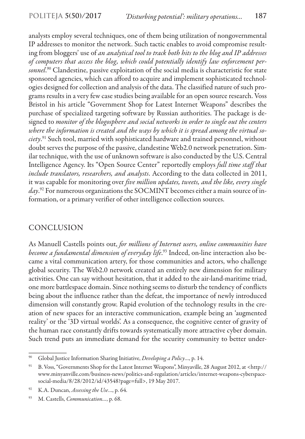analysts employ several techniques, one of them being utilization of nongovernmental IP addresses to monitor the network. Such tactic enables to avoid compromise resulting from bloggers' use of *an analytical tool to track both hits to the blog and IP addresses of computers that access the blog, which could potentially identify law enforcement personnel*. 90 Clandestine, passive exploitation of the social media is characteristic for state sponsored agencies, which can afford to acquire and implement sophisticated technologies designed for collection and analysis of the data. The classified nature of such programs results in a very few case studies being available for an open source research. Voss Bristol in his article "Government Shop for Latest Internet Weapons" describes the purchase of specialized targeting software by Russian authorities. The package is designed to *monitor of the blogosphere and social networks in order to single out the centers where the information is created and the ways by which it is spread among the virtual society*. 91 Such tool, married with sophisticated hardware and trained personnel, without doubt serves the purpose of the passive, clandestine Web2.0 network penetration. Similar technique, with the use of unknown software is also conducted by the U.S. Central Intelligence Agency. Its "Open Source Center" reportedly employs *full time staff that include translators, researchers, and analysts*. According to the data collected in 2011, it was capable for monitoring over *five million updates, tweets, and the like, every single day*. 92 For numerous organizations the SOCMINT becomes either a main source of information, or a primary verifier of other intelligence collection sources.

# CONCLUSION

As Manuell Castells points out, *for millions of Internet users, online communities have become a fundamental dimension of everyday life*. 93 Indeed, on-line interaction also became a vital communication artery, for those communities and actors, who challenge global security. The Web2.0 network created an entirely new dimension for military activities. One can say without hesitation, that it added to the air-land-maritime triad, one more battlespace domain. Since nothing seems to disturb the tendency of conflicts being about the influence rather than the defeat, the importance of newly introduced dimension will constantly grow. Rapid evolution of the technology results in the creation of new spaces for an interactive communication, example being an 'augmented reality' or the '3D virtual worlds'. As a consequence, the cognitive center of gravity of the human race constantly drifts towards systematically more attractive cyber domain. Such trend puts an immediate demand for the security community to better under-

<sup>90</sup> Global Justice Information Sharing Initiative, *Developing a Policy*…, p. 14.

<sup>91</sup> B. Voss, "Governments Shop for the Latest Internet Weapons", Minyaville, 28 August 2012, at <http:// www.minyanville.com/business-news/politics-and-regulation/articles/internet-weapons-cyberspacesocial-media/8/28/2012/id/43548?page=full>, 19 May 2017.

<sup>92</sup> K.A. Duncan, *Assessing the Use*…, p. 64.

<sup>93</sup> M. Castells, *Communication…*, p. 68.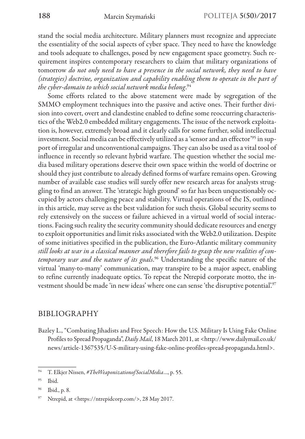stand the social media architecture. Military planners must recognize and appreciate the essentiality of the social aspects of cyber space. They need to have the knowledge and tools adequate to challenges, posed by new engagement space geometry. Such requirement inspires contemporary researchers to claim that military organizations of tomorrow *do not only need to have a presence in the social network, they need to have (strategies) doctrine, organization and capability enabling them to operate in the part of the cyber-domain to which social network media belong*. 94

Some efforts related to the above statement were made by segregation of the SMMO employment techniques into the passive and active ones. Their further division into covert, overt and clandestine enabled to define some reoccurring characteristics of the Web2.0 embedded military engagements. The issue of the network exploitation is, however, extremely broad and it clearly calls for some further, solid intellectual investment. Social media can be effectively utilized as a 'sensor and an effector'<sup>95</sup> in support of irregular and unconventional campaigns. They can also be used as a vital tool of influence in recently so relevant hybrid warfare. The question whether the social media based military operations deserve their own space within the world of doctrine or should they just contribute to already defined forms of warfare remains open. Growing number of available case studies will surely offer new research areas for analysts struggling to find an answer. The 'strategic high ground' so far has been unquestionably occupied by actors challenging peace and stability. Virtual operations of the IS, outlined in this article, may serve as the best validation for such thesis. Global security seems to rely extensively on the success or failure achieved in a virtual world of social interactions. Facing such reality the security community should dedicate resources and energy to exploit opportunities and limit risks associated with the Web2.0 utilization. Despite of some initiatives specified in the publication, the Euro-Atlantic military community *still looks at war in a classical manner and therefore fails to grasp the new realities of contemporary war and the nature of its goals*. 96 Understanding the specific nature of the virtual 'many-to-many' communication, may transpire to be a major aspect, enabling to refine currently inadequate optics. To repeat the Ntrepid corporate motto, the investment should be made 'in new ideas' where one can sense 'the disruptive potential'.97

### BIBLIOGRAPHY

Bazley L., "Combating Jihadists and Free Speech: How the U.S. Military Is Using Fake Online Profiles to Spread Propaganda", *Daily Mail*, 18 March 2011, at <http://www.dailymail.co.uk/ news/article-1367535/U-S-military-using-fake-online-profiles-spread-propaganda.html>.

<sup>94</sup> T. Elkjer Nissen, *#TheWeaponizationofSocialMedia*…, p. 55.

<sup>95</sup> Ibid.

<sup>96</sup> Ibid., p. 8.

Ntrepid, at <https://ntrepidcorp.com/>, 28 May 2017.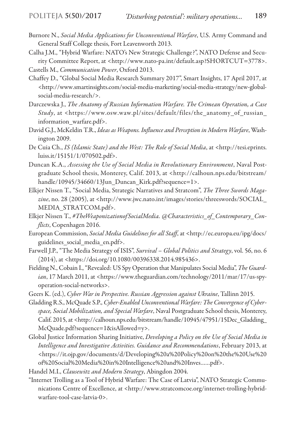- Burnore N., *Social Media Applications for Unconventional Warfare*, U.S. Army Command and General Staff College thesis, Fort Leavenworth 2013.
- Calha J.M., "Hybrid Warfare: NATO's New Strategic Challenge?", NATO Defense and Security Committee Report, at <http://www.nato-pa.int/default.asp?SHORTCUT=3778>. Castells M., *Communication Power*, Oxford 2013.
- Chaffey D., "Global Social Media Research Summary 2017", Smart Insights, 17 April 2017, at <http://www.smartinsights.com/social-media-marketing/social-media-strategy/new-globalsocial-media-research/>.
- Darczewska J., *The Anatomy of Russian Information Warfare. The Crimean Operation, a Case Study*, at <https://www.osw.waw.pl/sites/default/files/the\_anatomy\_of\_russian\_ information\_warfare.pdf>.
- David G.J., McKeldin T.R., *Ideas as Weapons. Influence and Perception in Modern Warfare*, Washington 2009.
- De Cuia Ch., *IS (Islamic State) and the West: The Role of Social Media*, at <http://tesi.eprints. luiss.it/15151/1/070502.pdf>.
- Duncan K.A., *Assessing the Use of Social Media in Revolutionary Environment*, Naval Postgraduate School thesis, Monterey, Calif. 2013, at <http://calhoun.nps.edu/bitstream/ handle/10945/34660/13Jun Duncan Kirk.pdf?sequence=1>.
- Elkjer Nissen T., "Social Media, Strategic Narratives and Stratcom", *The Three Swords Magazine*, no. 28 (2005), at <http://www.jwc.nato.int/images/stories/threeswords/SOCIAL\_ MEDIA\_STRATCOM.pdf>.
- Elkjer Nissen T., *#TheWeaponizationofSocialMedia. @Characteristics\_of\_Contemporary\_Conflicts*, Copenhagen 2016.
- European Commission, *Social Media Guidelines for all Staff*, at <http://ec.europa.eu/ipg/docs/ guidelines\_social\_media\_en.pdf>.
- Farwell J.P., "The Media Strategy of ISIS", *Survival Global Politics and Strategy*, vol. 56, no. 6 (2014), at <https://doi.org/10.1080/00396338.2014.985436>.
- Fielding N., Cobain I., "Revealed: US Spy Operation that Manipulates Social Media", *The Guard*ian, 17 March 2011, at <https://www.theguardian.com/technology/2011/mar/17/us-spyoperation-social-networks>.
- Geers K. (ed.), *Cyber War in Perspective. Russian Aggression against Ukraine*, Tallinn 2015.
- Gladding R.S., McQuade S.P., *Cyber-Enabled Unconventional Warfare: The Convergence of Cyberspace, Social Mobilization, and Special Warfare*, Naval Postgraduate School thesis, Monterey, Calif. 2015, at <http://calhoun.nps.edu/bitstream/handle/10945/47951/15Dec\_Gladding\_ McQuade.pdf?sequence=1&isAllowed=y>.
- Global Justice Information Sharing Initiative, *Developing a Policy on the Use of Social Media in Intelligence and Investigative Activities. Guidance and Recommendations*, February 2013, at <https://it.ojp.gov/documents/d/Developing%20a%20Policy%20on%20the%20Use%20 of%20Social%20Media%20in%20Intelligence%20and%20Inves……pdf>.
- Handel M.I., *Clausewitz and Modern Strategy*, Abingdon 2004.
- "Internet Trolling as a Tool of Hybrid Warfare: The Case of Latvia", NATO Strategic Communications Centre of Excellence, at <http://www.stratcomcoe.org/internet-trolling-hybridwarfare-tool-case-latvia-0>.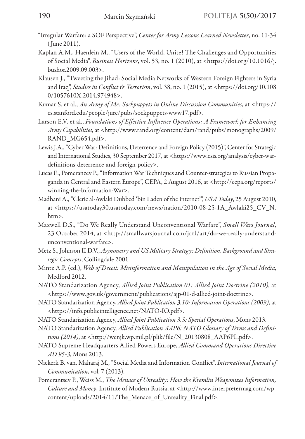- "Irregular Warfare: a SOF Perspective", *Center for Army Lessons Learned Newsletter*, no. 11-34 ( June 2011).
- Kaplan A.M., Haenlein M., "Users of the World, Unite! The Challenges and Opportunities of Social Media", *Business Horizons*, vol. 53, no. 1 (2010), at <https://doi.org/10.1016/j. bushor.2009.09.003>.
- Klausen J., "Tweeting the Jihad: Social Media Networks of Western Foreign Fighters in Syria and Iraq", *Studies in Conflict & Terrorism*, vol. 38, no. 1 (2015), at <https://doi.org/10.108 0/1057610X.2014.974948>.
- Kumar S. et al., *An Army of Me: Sockpuppets in Online Discussion Communities*, at <https:// cs.stanford.edu/people/jure/pubs/sockpuppets-www17.pdf>.
- Larson E.V. et al., *Foundations of Effective Influence Operations: A Framework for Enhancing Army Capabilities*, at <http://www.rand.org/content/dam/rand/pubs/monographs/2009/ RAND\_MG654.pdf>.
- Lewis J.A., "Cyber War: Definitions, Deterrence and Foreign Policy (2015)", Center for Strategic and International Studies, 30 September 2017, at <https://www.csis.org/analysis/cyber-wardefinitions-deterrence-and-foreign-policy>.
- Lucas E., Pomeranzev P., "Information War Techniques and Counter-strategies to Russian Propaganda in Central and Eastern Europe", CEPA, 2 August 2016, at <http://cepa.org/reports/ winning-the-Information-War>.
- Madhani A., "Cleric al-Awlaki Dubbed 'bin Laden of the Internet'", *USA Today*, 25 August 2010, at <https://usatoday30.usatoday.com/news/nation/2010-08-25-1A\_Awlaki25\_CV\_N. htm>.
- Maxwell D.S., "Do We Really Understand Unconventional Warfare", *Small Wars Journal*, 23 October 2014, at <http://smallwarsjournal.com/jrnl/art/do-we-really-understandunconventional-warfare>.
- Metz S., Johnson II D.V., *Asymmetry and US Military Strategy: Definition, Background and Strategic Concepts*, Collingdale 2001.
- Mintz A.P. (ed.), *Web of Deceit. Misinformation and Manipulation in the Age of Social Media*, Medford 2012.
- NATO Standarization Agency, *Allied Joint Publication 01: Allied Joint Doctrine (2010)*, at <https://www.gov.uk/government/publications/ajp-01-d-allied-joint-doctrine>.
- NATO Standarization Agency, *Allied Joint Publication 3.10: Information Operations (2009)*, at <https://info.publicintelligence.net/NATO-IO.pdf>.
- NATO Standarization Agency, *Allied Joint Publication 3.5: Special Operations*, Mons 2013.
- NATO Standarization Agency, *Allied Publication AAP6: NATO Glossary of Terms and Definitions (2014)*, at <http://wcnjk.wp.mil.pl/plik/file/N\_20130808\_AAP6PL.pdf>.
- NATO Supreme Headquarters Allied Powers Europe, *Allied Command Operations Directive AD 95-3*, Mons 2013.
- Niekerk B. van, Maharaj M., "Social Media and Information Conflict", *International Journal of Communication*, vol. 7 (2013).
- Pomerantsev P., Weiss M., *The Menace of Unreality: How the Kremlin Weaponizes Information, Culture and Money*, Institute of Modern Russia, at <http://www.interpretermag.com/wpcontent/uploads/2014/11/The Menace of Unreality Final.pdf>.